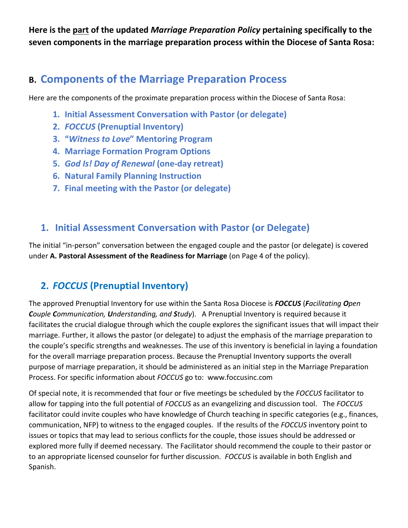**Here is the part of the updated** *Marriage Preparation Policy* **pertaining specifically to the seven components in the marriage preparation process within the Diocese of Santa Rosa:** 

# **B. Components of the Marriage Preparation Process**

Here are the components of the proximate preparation process within the Diocese of Santa Rosa:

- **1. Initial Assessment Conversation with Pastor (or delegate)**
- **2.** *FOCCUS* **(Prenuptial Inventory)**
- **3. "***Witness to Love***" Mentoring Program**
- **4. Marriage Formation Program Options**
- **5.** *God Is! Day of Renewal* **(one-day retreat)**
- **6. Natural Family Planning Instruction**
- **7. Final meeting with the Pastor (or delegate)**

### **1. Initial Assessment Conversation with Pastor (or Delegate)**

The initial "in-person" conversation between the engaged couple and the pastor (or delegate) is covered under **A. Pastoral Assessment of the Readiness for Marriage** (on Page 4 of the policy).

## **2.** *FOCCUS* **(Prenuptial Inventory)**

The approved Prenuptial Inventory for use within the Santa Rosa Diocese is *FOCCUS* (*Facilitating Open Couple Communication, Understanding, and Study*). A Prenuptial Inventory is required because it facilitates the crucial dialogue through which the couple explores the significant issues that will impact their marriage. Further, it allows the pastor (or delegate) to adjust the emphasis of the marriage preparation to the couple's specific strengths and weaknesses. The use of this inventory is beneficial in laying a foundation for the overall marriage preparation process. Because the Prenuptial Inventory supports the overall purpose of marriage preparation, it should be administered as an initial step in the Marriage Preparation Process. For specific information about *FOCCUS* go to: www.foccusinc.com

Of special note, it is recommended that four or five meetings be scheduled by the *FOCCUS* facilitator to allow for tapping into the full potential of *FOCCUS* as an evangelizing and discussion tool. The *FOCCUS*  facilitator could invite couples who have knowledge of Church teaching in specific categories (e.g., finances, communication, NFP) to witness to the engaged couples. If the results of the *FOCCUS* inventory point to issues or topics that may lead to serious conflicts for the couple, those issues should be addressed or explored more fully if deemed necessary. The Facilitator should recommend the couple to their pastor or to an appropriate licensed counselor for further discussion. *FOCCUS* is available in both English and Spanish.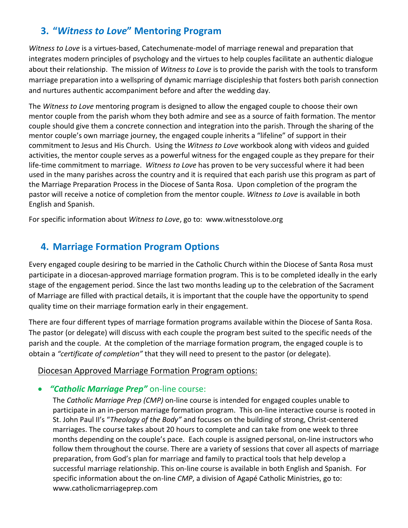## **3. "***Witness to Love***" Mentoring Program**

*Witness to Love* is a virtues-based, Catechumenate-model of marriage renewal and preparation that integrates modern principles of psychology and the virtues to help couples facilitate an authentic dialogue about their relationship. The mission of *Witness to Love* is to provide the parish with the tools to transform marriage preparation into a wellspring of dynamic marriage discipleship that fosters both parish connection and nurtures authentic accompaniment before and after the wedding day.

The *Witness to Love* mentoring program is designed to allow the engaged couple to choose their own mentor couple from the parish whom they both admire and see as a source of faith formation. The mentor couple should give them a concrete connection and integration into the parish. Through the sharing of the mentor couple's own marriage journey, the engaged couple inherits a "lifeline" of support in their commitment to Jesus and His Church. Using the *Witness to Love* workbook along with videos and guided activities, the mentor couple serves as a powerful witness for the engaged couple as they prepare for their life-time commitment to marriage. *Witness to Love* has proven to be very successful where it had been used in the many parishes across the country and it is required that each parish use this program as part of the Marriage Preparation Process in the Diocese of Santa Rosa. Upon completion of the program the pastor will receive a notice of completion from the mentor couple. *Witness to Love* is available in both English and Spanish.

For specific information about *Witness to Love*, go to: www.witnesstolove.org

### **4. Marriage Formation Program Options**

Every engaged couple desiring to be married in the Catholic Church within the Diocese of Santa Rosa must participate in a diocesan-approved marriage formation program. This is to be completed ideally in the early stage of the engagement period. Since the last two months leading up to the celebration of the Sacrament of Marriage are filled with practical details, it is important that the couple have the opportunity to spend quality time on their marriage formation early in their engagement.

There are four different types of marriage formation programs available within the Diocese of Santa Rosa. The pastor (or delegate) will discuss with each couple the program best suited to the specific needs of the parish and the couple. At the completion of the marriage formation program, the engaged couple is to obtain a *"certificate of completion"* that they will need to present to the pastor (or delegate).

#### Diocesan Approved Marriage Formation Program options:

#### • *"Catholic Marriage Prep"* on-line course:

The *Catholic Marriage Prep (CMP)* on-line course is intended for engaged couples unable to participate in an in-person marriage formation program. This on-line interactive course is rooted in St. John Paul II's "*Theology of the Body"* and focuses on the building of strong, Christ-centered marriages. The course takes about 20 hours to complete and can take from one week to three months depending on the couple's pace. Each couple is assigned personal, on-line instructors who follow them throughout the course. There are a variety of sessions that cover all aspects of marriage preparation, from God's plan for marriage and family to practical tools that help develop a successful marriage relationship. This on-line course is available in both English and Spanish. For specific information about the on-line *CMP*, a division of Agapé Catholic Ministries, go to: [www.catholicmarriageprep.com](http://www.catholicmarriageprep.com/)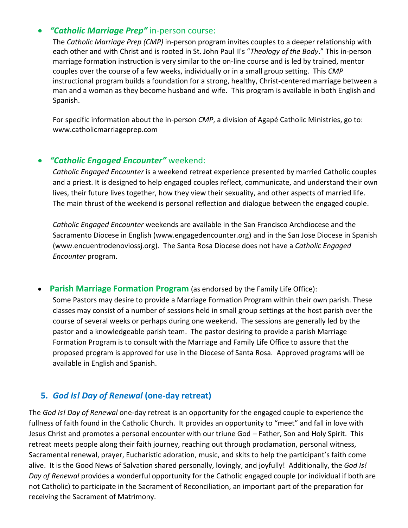#### • *"Catholic Marriage Prep"* in-person course:

The *Catholic Marriage Prep (CMP)* in-person program invites couples to a deeper relationship with each other and with Christ and is rooted in St. John Paul II's "*Theology of the Body*." This in-person marriage formation instruction is very similar to the on-line course and is led by trained, mentor couples over the course of a few weeks, individually or in a small group setting. This *CMP* instructional program builds a foundation for a strong, healthy, Christ-centered marriage between a man and a woman as they become husband and wife. This program is available in both English and Spanish.

For specific information about the in-person *CMP*, a division of Agapé Catholic Ministries, go to: www.catholicmarriageprep.com

#### • *"Catholic Engaged Encounter"* weekend:

*Catholic Engaged Encounter* is a weekend retreat experience presented by married Catholic couples and a priest. It is designed to help engaged couples reflect, communicate, and understand their own lives, their future lives together, how they view their sexuality, and other aspects of married life. The main thrust of the weekend is personal reflection and dialogue between the engaged couple.

*Catholic Engaged Encounter* weekends are available in the San Francisco Archdiocese and the Sacramento Diocese in English (www.engagedencounter.org) and in the San Jose Diocese in Spanish (www.encuentrodenoviossj.org). The Santa Rosa Diocese does not have a *Catholic Engaged Encounter* program.

• **Parish Marriage Formation Program** (as endorsed by the Family Life Office): Some Pastors may desire to provide a Marriage Formation Program within their own parish. These classes may consist of a number of sessions held in small group settings at the host parish over the course of several weeks or perhaps during one weekend. The sessions are generally led by the pastor and a knowledgeable parish team. The pastor desiring to provide a parish Marriage Formation Program is to consult with the Marriage and Family Life Office to assure that the proposed program is approved for use in the Diocese of Santa Rosa. Approved programs will be available in English and Spanish.

### **5.** *God Is! Day of Renewal* **(one-day retreat)**

The *God Is! Day of Renewal* one-day retreat is an opportunity for the engaged couple to experience the fullness of faith found in the Catholic Church. It provides an opportunity to "meet" and fall in love with Jesus Christ and promotes a personal encounter with our triune God – Father, Son and Holy Spirit. This retreat meets people along their faith journey, reaching out through proclamation, personal witness, Sacramental renewal, prayer, Eucharistic adoration, music, and skits to help the participant's faith come alive. It is the Good News of Salvation shared personally, lovingly, and joyfully! Additionally, the *God Is! Day of Renewal* provides a wonderful opportunity for the Catholic engaged couple (or individual if both are not Catholic) to participate in the Sacrament of Reconciliation, an important part of the preparation for receiving the Sacrament of Matrimony.